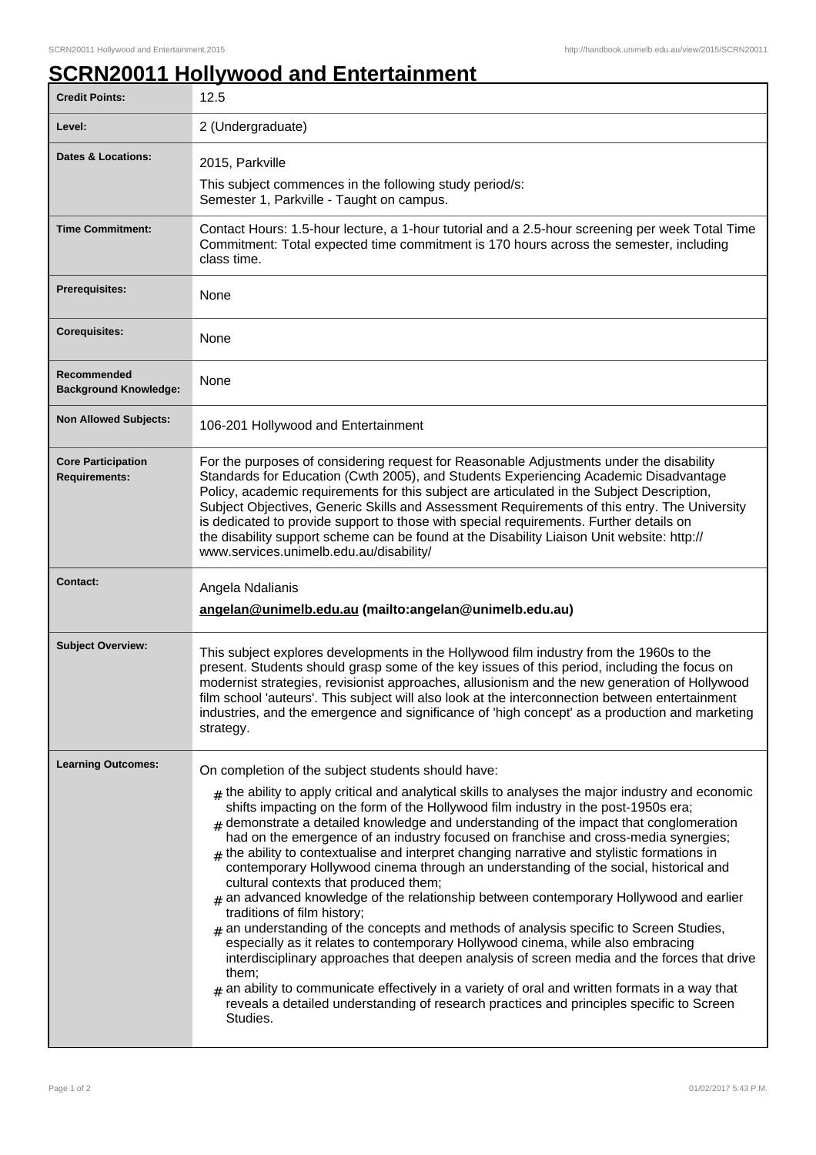## **SCRN20011 Hollywood and Entertainment**

| <b>Credit Points:</b>                             | 12.5                                                                                                                                                                                                                                                                                                                                                                                                                                                                                                                                                                                                                                                                                                                                                                                                                                                                                                                                                                                                                                                                                                                                                                                                                                                |
|---------------------------------------------------|-----------------------------------------------------------------------------------------------------------------------------------------------------------------------------------------------------------------------------------------------------------------------------------------------------------------------------------------------------------------------------------------------------------------------------------------------------------------------------------------------------------------------------------------------------------------------------------------------------------------------------------------------------------------------------------------------------------------------------------------------------------------------------------------------------------------------------------------------------------------------------------------------------------------------------------------------------------------------------------------------------------------------------------------------------------------------------------------------------------------------------------------------------------------------------------------------------------------------------------------------------|
| Level:                                            | 2 (Undergraduate)                                                                                                                                                                                                                                                                                                                                                                                                                                                                                                                                                                                                                                                                                                                                                                                                                                                                                                                                                                                                                                                                                                                                                                                                                                   |
| Dates & Locations:                                | 2015, Parkville<br>This subject commences in the following study period/s:<br>Semester 1, Parkville - Taught on campus.                                                                                                                                                                                                                                                                                                                                                                                                                                                                                                                                                                                                                                                                                                                                                                                                                                                                                                                                                                                                                                                                                                                             |
| <b>Time Commitment:</b>                           | Contact Hours: 1.5-hour lecture, a 1-hour tutorial and a 2.5-hour screening per week Total Time<br>Commitment: Total expected time commitment is 170 hours across the semester, including<br>class time.                                                                                                                                                                                                                                                                                                                                                                                                                                                                                                                                                                                                                                                                                                                                                                                                                                                                                                                                                                                                                                            |
| Prerequisites:                                    | None                                                                                                                                                                                                                                                                                                                                                                                                                                                                                                                                                                                                                                                                                                                                                                                                                                                                                                                                                                                                                                                                                                                                                                                                                                                |
| <b>Corequisites:</b>                              | None                                                                                                                                                                                                                                                                                                                                                                                                                                                                                                                                                                                                                                                                                                                                                                                                                                                                                                                                                                                                                                                                                                                                                                                                                                                |
| Recommended<br><b>Background Knowledge:</b>       | None                                                                                                                                                                                                                                                                                                                                                                                                                                                                                                                                                                                                                                                                                                                                                                                                                                                                                                                                                                                                                                                                                                                                                                                                                                                |
| <b>Non Allowed Subjects:</b>                      | 106-201 Hollywood and Entertainment                                                                                                                                                                                                                                                                                                                                                                                                                                                                                                                                                                                                                                                                                                                                                                                                                                                                                                                                                                                                                                                                                                                                                                                                                 |
| <b>Core Participation</b><br><b>Requirements:</b> | For the purposes of considering request for Reasonable Adjustments under the disability<br>Standards for Education (Cwth 2005), and Students Experiencing Academic Disadvantage<br>Policy, academic requirements for this subject are articulated in the Subject Description,<br>Subject Objectives, Generic Skills and Assessment Requirements of this entry. The University<br>is dedicated to provide support to those with special requirements. Further details on<br>the disability support scheme can be found at the Disability Liaison Unit website: http://<br>www.services.unimelb.edu.au/disability/                                                                                                                                                                                                                                                                                                                                                                                                                                                                                                                                                                                                                                    |
| <b>Contact:</b>                                   | Angela Ndalianis<br>angelan@unimelb.edu.au (mailto:angelan@unimelb.edu.au)                                                                                                                                                                                                                                                                                                                                                                                                                                                                                                                                                                                                                                                                                                                                                                                                                                                                                                                                                                                                                                                                                                                                                                          |
| <b>Subject Overview:</b>                          | This subject explores developments in the Hollywood film industry from the 1960s to the<br>present. Students should grasp some of the key issues of this period, including the focus on<br>modernist strategies, revisionist approaches, allusionism and the new generation of Hollywood<br>film school 'auteurs'. This subject will also look at the interconnection between entertainment<br>industries, and the emergence and significance of 'high concept' as a production and marketing<br>strategy.                                                                                                                                                                                                                                                                                                                                                                                                                                                                                                                                                                                                                                                                                                                                          |
| <b>Learning Outcomes:</b>                         | On completion of the subject students should have:                                                                                                                                                                                                                                                                                                                                                                                                                                                                                                                                                                                                                                                                                                                                                                                                                                                                                                                                                                                                                                                                                                                                                                                                  |
|                                                   | $_{\text{\#}}$ the ability to apply critical and analytical skills to analyses the major industry and economic<br>shifts impacting on the form of the Hollywood film industry in the post-1950s era;<br>demonstrate a detailed knowledge and understanding of the impact that conglomeration<br>had on the emergence of an industry focused on franchise and cross-media synergies;<br>$#$ the ability to contextualise and interpret changing narrative and stylistic formations in<br>contemporary Hollywood cinema through an understanding of the social, historical and<br>cultural contexts that produced them;<br>$#$ an advanced knowledge of the relationship between contemporary Hollywood and earlier<br>traditions of film history;<br>$#$ an understanding of the concepts and methods of analysis specific to Screen Studies,<br>especially as it relates to contemporary Hollywood cinema, while also embracing<br>interdisciplinary approaches that deepen analysis of screen media and the forces that drive<br>them;<br>$*$ an ability to communicate effectively in a variety of oral and written formats in a way that<br>reveals a detailed understanding of research practices and principles specific to Screen<br>Studies. |